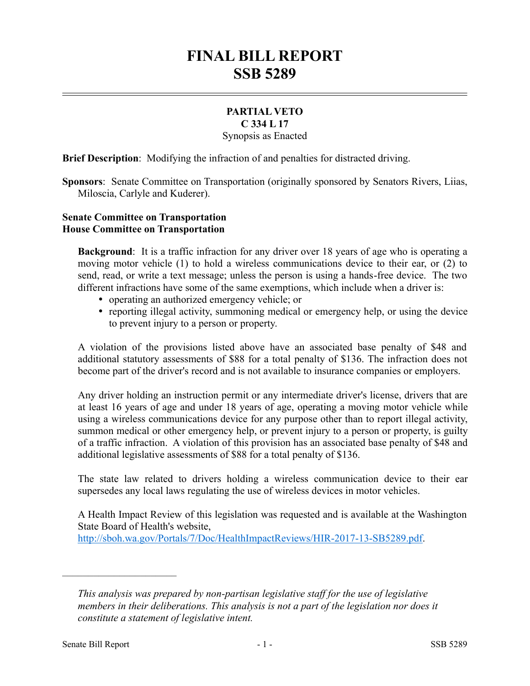## **FINAL BILL REPORT SSB 5289**

## **PARTIAL VETO C 334 L 17**

Synopsis as Enacted

**Brief Description**: Modifying the infraction of and penalties for distracted driving.

**Sponsors**: Senate Committee on Transportation (originally sponsored by Senators Rivers, Liias, Miloscia, Carlyle and Kuderer).

## **Senate Committee on Transportation House Committee on Transportation**

**Background**: It is a traffic infraction for any driver over 18 years of age who is operating a moving motor vehicle (1) to hold a wireless communications device to their ear, or (2) to send, read, or write a text message; unless the person is using a hands-free device. The two different infractions have some of the same exemptions, which include when a driver is:

- operating an authorized emergency vehicle; or
- reporting illegal activity, summoning medical or emergency help, or using the device to prevent injury to a person or property.

A violation of the provisions listed above have an associated base penalty of \$48 and additional statutory assessments of \$88 for a total penalty of \$136. The infraction does not become part of the driver's record and is not available to insurance companies or employers.

Any driver holding an instruction permit or any intermediate driver's license, drivers that are at least 16 years of age and under 18 years of age, operating a moving motor vehicle while using a wireless communications device for any purpose other than to report illegal activity, summon medical or other emergency help, or prevent injury to a person or property, is guilty of a traffic infraction. A violation of this provision has an associated base penalty of \$48 and additional legislative assessments of \$88 for a total penalty of \$136.

The state law related to drivers holding a wireless communication device to their ear supersedes any local laws regulating the use of wireless devices in motor vehicles.

A Health Impact Review of this legislation was requested and is available at the Washington State Board of Health's website,

http://sboh.wa.gov/Portals/7/Doc/HealthImpactReviews/HIR-2017-13-SB5289.pdf.

––––––––––––––––––––––

*This analysis was prepared by non-partisan legislative staff for the use of legislative members in their deliberations. This analysis is not a part of the legislation nor does it constitute a statement of legislative intent.*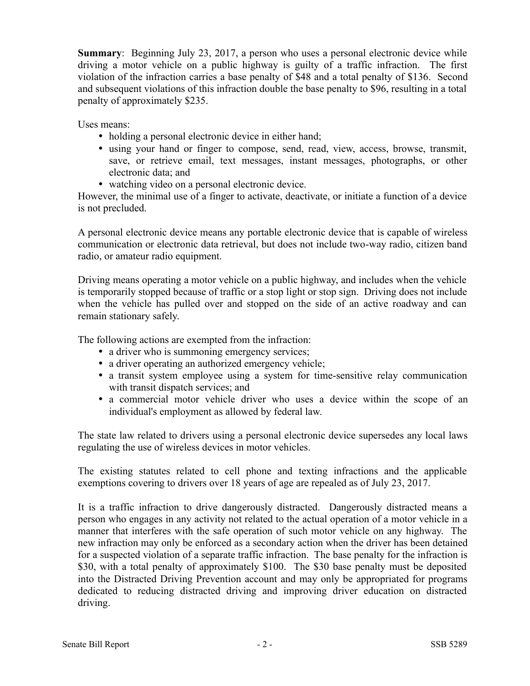**Summary**: Beginning July 23, 2017, a person who uses a personal electronic device while driving a motor vehicle on a public highway is guilty of a traffic infraction. The first violation of the infraction carries a base penalty of \$48 and a total penalty of \$136. Second and subsequent violations of this infraction double the base penalty to \$96, resulting in a total penalty of approximately \$235.

Uses means:

- holding a personal electronic device in either hand;
- using your hand or finger to compose, send, read, view, access, browse, transmit, save, or retrieve email, text messages, instant messages, photographs, or other electronic data; and
- watching video on a personal electronic device.

However, the minimal use of a finger to activate, deactivate, or initiate a function of a device is not precluded.

A personal electronic device means any portable electronic device that is capable of wireless communication or electronic data retrieval, but does not include two-way radio, citizen band radio, or amateur radio equipment.

Driving means operating a motor vehicle on a public highway, and includes when the vehicle is temporarily stopped because of traffic or a stop light or stop sign. Driving does not include when the vehicle has pulled over and stopped on the side of an active roadway and can remain stationary safely.

The following actions are exempted from the infraction:

- a driver who is summoning emergency services;
- a driver operating an authorized emergency vehicle;
- a transit system employee using a system for time-sensitive relay communication with transit dispatch services; and
- a commercial motor vehicle driver who uses a device within the scope of an individual's employment as allowed by federal law.

The state law related to drivers using a personal electronic device supersedes any local laws regulating the use of wireless devices in motor vehicles.

The existing statutes related to cell phone and texting infractions and the applicable exemptions covering to drivers over 18 years of age are repealed as of July 23, 2017.

It is a traffic infraction to drive dangerously distracted. Dangerously distracted means a person who engages in any activity not related to the actual operation of a motor vehicle in a manner that interferes with the safe operation of such motor vehicle on any highway. The new infraction may only be enforced as a secondary action when the driver has been detained for a suspected violation of a separate traffic infraction. The base penalty for the infraction is \$30, with a total penalty of approximately \$100. The \$30 base penalty must be deposited into the Distracted Driving Prevention account and may only be appropriated for programs dedicated to reducing distracted driving and improving driver education on distracted driving.